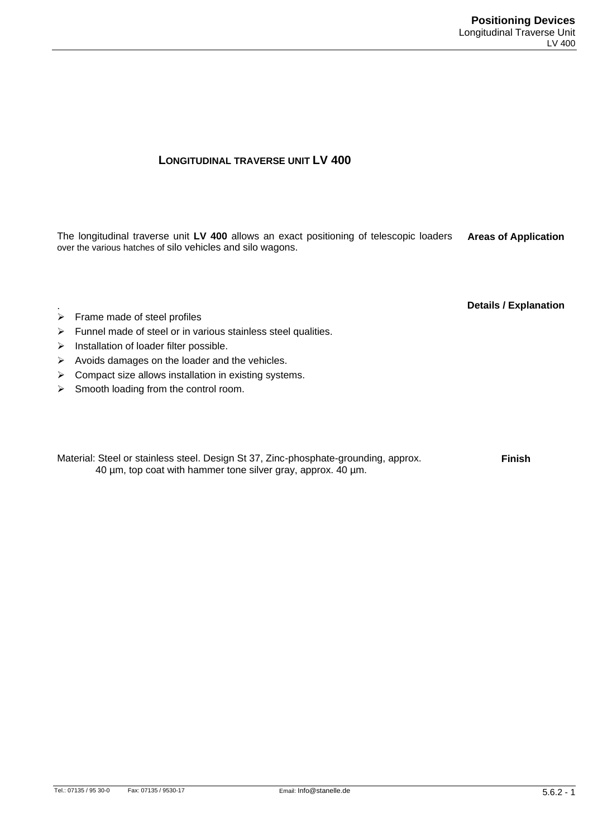## **LONGITUDINAL TRAVERSE UNIT LV 400**

The longitudinal traverse unit **LV 400** allows an exact positioning of telescopic loaders over the various hatches of silo vehicles and silo wagons. **Areas of Application**

**Details / Explanation**

- .  $\triangleright$  Frame made of steel profiles
- $\triangleright$  Funnel made of steel or in various stainless steel qualities.
- $\triangleright$  Installation of loader filter possible.
- $\triangleright$  Avoids damages on the loader and the vehicles.
- $\triangleright$  Compact size allows installation in existing systems.
- $\triangleright$  Smooth loading from the control room.

Material: Steel or stainless steel. Design St 37, Zinc-phosphate-grounding, approx. 40 µm, top coat with hammer tone silver gray, approx. 40 µm.

**Finish**